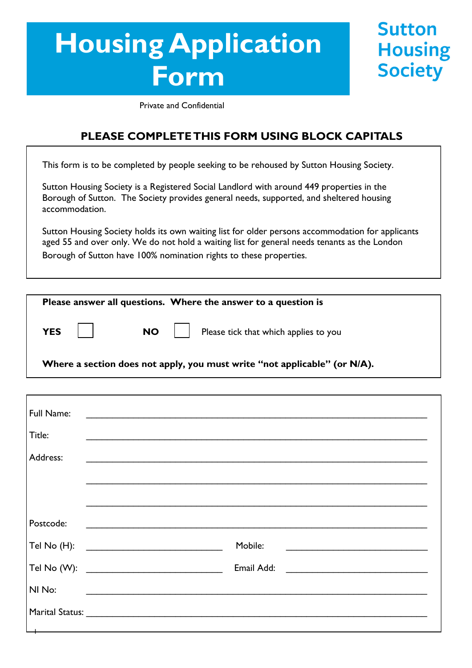# **Housing Application Form**

**Sutton Housing Society** 

Private and Confidential

### **PLEASE COMPLETE THIS FORM USING BLOCK CAPITALS**

This form is to be completed by people seeking to be rehoused by Sutton Housing Society.

Sutton Housing Society is a Registered Social Landlord with around 449 properties in the Borough of Sutton. The Society provides general needs, supported, and sheltered housing accommodation.

Sutton Housing Society holds its own waiting list for older persons accommodation for applicants aged 55 and over only. We do not hold a waiting list for general needs tenants as the London Borough of Sutton have 100% nomination rights to these properties.

| Please answer all questions. Where the answer to a question is            |
|---------------------------------------------------------------------------|
| NO   Please tick that which applies to you<br><b>YES</b>                  |
| Where a section does not apply, you must write "not applicable" (or N/A). |

| Full Name: |                                                                                                                      |
|------------|----------------------------------------------------------------------------------------------------------------------|
| Title:     |                                                                                                                      |
| Address:   | <u> 1989 - Johann John Stone, markin film (f. 1989)</u>                                                              |
|            |                                                                                                                      |
|            |                                                                                                                      |
| Postcode:  | <u> 2000 - 2000 - 2000 - 2000 - 2000 - 2000 - 2000 - 2000 - 2000 - 2000 - 2000 - 2000 - 2000 - 2000 - 2000 - 200</u> |
|            | Mobile:                                                                                                              |
|            | Email Add:                                                                                                           |
| NI No:     |                                                                                                                      |
|            |                                                                                                                      |
|            |                                                                                                                      |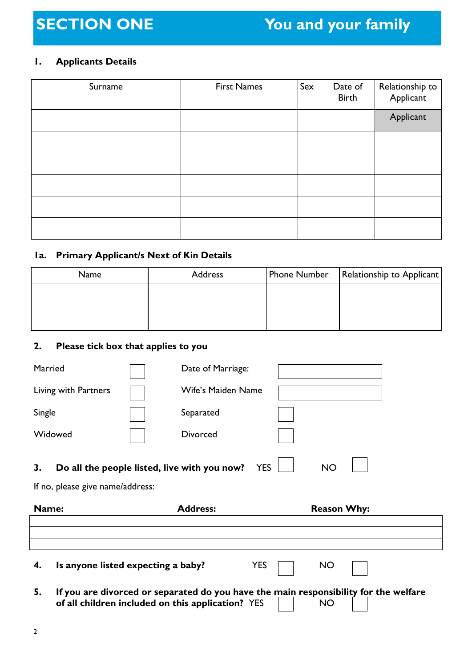### **1. Applicants Details**

| Surname | <b>First Names</b> | Sex | Date of<br><b>Birth</b> | Relationship to<br>Applicant |
|---------|--------------------|-----|-------------------------|------------------------------|
|         |                    |     |                         | Applicant                    |
|         |                    |     |                         |                              |
|         |                    |     |                         |                              |
|         |                    |     |                         |                              |
|         |                    |     |                         |                              |
|         |                    |     |                         |                              |

### **1a. Primary Applicant/s Next of Kin Details**

| Name | <b>Address</b> | Phone Number | Relationship to Applicant |
|------|----------------|--------------|---------------------------|
|      |                |              |                           |
|      |                |              |                           |
|      |                |              |                           |

### **2. Please tick box that applies to you**

| Married                                            | Date of Marriage:  |           |  |
|----------------------------------------------------|--------------------|-----------|--|
| Living with Partners                               | Wife's Maiden Name |           |  |
| Single                                             | Separated          |           |  |
| Widowed                                            | <b>Divorced</b>    |           |  |
| Do all the people listed, live with you now?<br>3. | <b>YES</b>         | <b>NO</b> |  |

If no, please give name/address:

| Name: | <b>Address:</b> | <b>Reason Why:</b> |
|-------|-----------------|--------------------|
|       |                 |                    |
|       |                 |                    |
|       |                 |                    |
|       |                 |                    |

**4. Is anyone listed expecting a baby?** YES  $\Box$  NO

**5. If you are divorced or separated do you have the main responsibility for the welfare of all children included on this application?** YES NO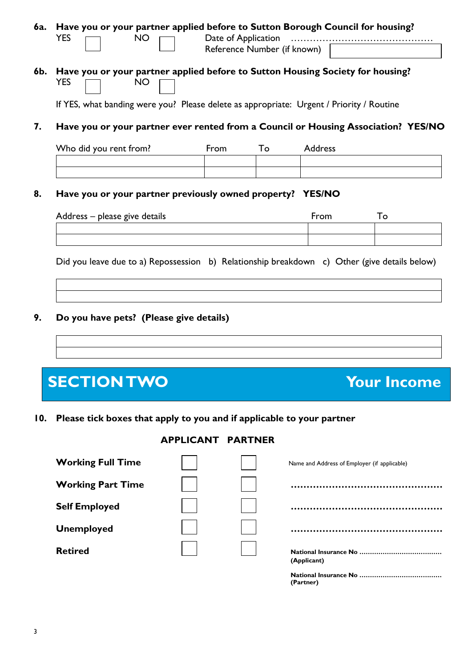| 6a. | Have you or your partner applied before to Sutton Borough Council for housing?<br><b>NO</b><br><b>YES</b>                                                                                             | Date of Application<br>Reference Number (if known) |    |                |                    |
|-----|-------------------------------------------------------------------------------------------------------------------------------------------------------------------------------------------------------|----------------------------------------------------|----|----------------|--------------------|
| 6b. | Have you or your partner applied before to Sutton Housing Society for housing?<br><b>YES</b><br><b>NO</b><br>If YES, what banding were you? Please delete as appropriate: Urgent / Priority / Routine |                                                    |    |                |                    |
| 7.  | Have you or your partner ever rented from a Council or Housing Association? YES/NO                                                                                                                    |                                                    |    |                |                    |
|     | Who did you rent from?                                                                                                                                                                                | From                                               | To | <b>Address</b> |                    |
| 8.  | Have you or your partner previously owned property? YES/NO                                                                                                                                            |                                                    |    |                |                    |
|     | Address - please give details                                                                                                                                                                         |                                                    |    | From           | To                 |
|     | Did you leave due to a) Repossession b) Relationship breakdown c) Other (give details below)                                                                                                          |                                                    |    |                |                    |
| 9.  | Do you have pets? (Please give details)                                                                                                                                                               |                                                    |    |                |                    |
|     | <b>SECTION TWO</b>                                                                                                                                                                                    |                                                    |    |                | <b>Your Income</b> |

**10. Please tick boxes that apply to you and if applicable to your partner**

### **APPLICANT PARTNER**

| <b>Working Full Time</b> |  | Name and Address of Employer (if applicable) |
|--------------------------|--|----------------------------------------------|
| <b>Working Part Time</b> |  |                                              |
| <b>Self Employed</b>     |  |                                              |
| <b>Unemployed</b>        |  |                                              |
| <b>Retired</b>           |  | (Applicant)                                  |
|                          |  | (Partner)                                    |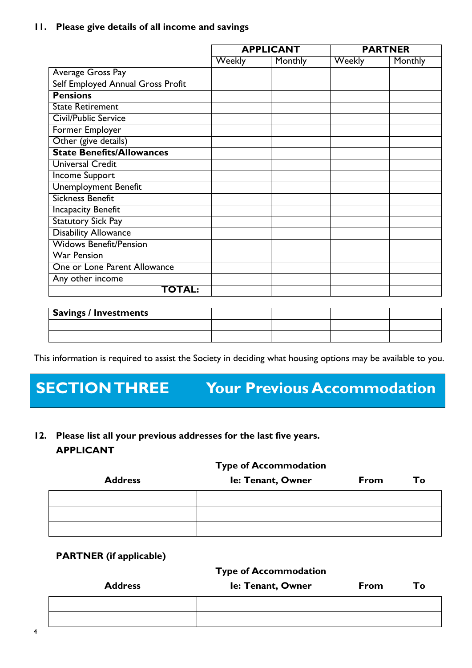### **11. Please give details of all income and savings**

|                                   |        | <b>APPLICANT</b> |        | <b>PARTNER</b> |
|-----------------------------------|--------|------------------|--------|----------------|
|                                   | Weekly | Monthly          | Weekly | Monthly        |
| Average Gross Pay                 |        |                  |        |                |
| Self Employed Annual Gross Profit |        |                  |        |                |
| <b>Pensions</b>                   |        |                  |        |                |
| <b>State Retirement</b>           |        |                  |        |                |
| Civil/Public Service              |        |                  |        |                |
| Former Employer                   |        |                  |        |                |
| Other (give details)              |        |                  |        |                |
| <b>State Benefits/Allowances</b>  |        |                  |        |                |
| Universal Credit                  |        |                  |        |                |
| <b>Income Support</b>             |        |                  |        |                |
| <b>Unemployment Benefit</b>       |        |                  |        |                |
| <b>Sickness Benefit</b>           |        |                  |        |                |
| <b>Incapacity Benefit</b>         |        |                  |        |                |
| <b>Statutory Sick Pay</b>         |        |                  |        |                |
| <b>Disability Allowance</b>       |        |                  |        |                |
| <b>Widows Benefit/Pension</b>     |        |                  |        |                |
| <b>War Pension</b>                |        |                  |        |                |
| One or Lone Parent Allowance      |        |                  |        |                |
| Any other income                  |        |                  |        |                |
| <b>TOTAL:</b>                     |        |                  |        |                |

| <b>Savings / Investments</b> |  |  |
|------------------------------|--|--|
|                              |  |  |
|                              |  |  |

This information is required to assist the Society in deciding what housing options may be available to you.

## **SECTION THREE Your Previous Accommodation**

**12. Please list all your previous addresses for the last five years. APPLICANT**

### **Type of Accommodation**

| <b>Address</b> | Ie: Tenant, Owner | From | To |
|----------------|-------------------|------|----|
|                |                   |      |    |
|                |                   |      |    |
|                |                   |      |    |

### **PARTNER (if applicable)**

### **Type of Accommodation**

| <b>Address</b> | Ie: Tenant, Owner | From | Тo |
|----------------|-------------------|------|----|
|                |                   |      |    |
|                |                   |      |    |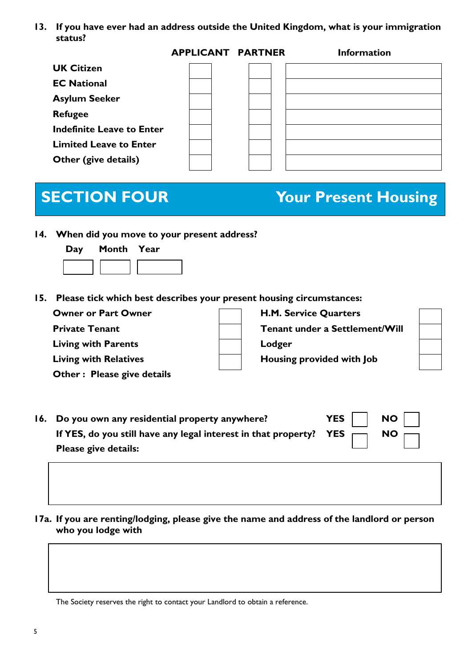**13. If you have ever had an address outside the United Kingdom, what is your immigration status?**

|                                  | <b>APPLICANT PARTNER</b> | <b>Information</b> |
|----------------------------------|--------------------------|--------------------|
| <b>UK Citizen</b>                |                          |                    |
| <b>EC National</b>               |                          |                    |
| <b>Asylum Seeker</b>             |                          |                    |
| <b>Refugee</b>                   |                          |                    |
| <b>Indefinite Leave to Enter</b> |                          |                    |
| <b>Limited Leave to Enter</b>    |                          |                    |
| Other (give details)             |                          |                    |
|                                  |                          |                    |

## **SECTION FOUR Your Present Housing**

**14. When did you move to your present address?**

| Day | Month Year |  |
|-----|------------|--|
|     |            |  |

**15. Please tick which best describes your present housing circumstances:**

| <b>Owner or Part Owner</b>   | H.M. Service Quarters          |  |
|------------------------------|--------------------------------|--|
| <b>Private Tenant</b>        | Tenant under a Settlement/Will |  |
| <b>Living with Parents</b>   | Lodger                         |  |
| <b>Living with Relatives</b> | Housing provided with Job      |  |
| Other: Please give details   |                                |  |

| 16. Do you own any residential property anywhere?                            |  | YES $\vert$ NO $\vert$ $\vert$ |
|------------------------------------------------------------------------------|--|--------------------------------|
| If YES, do you still have any legal interest in that property? YES $\Box$ NO |  |                                |
| Please give details:                                                         |  |                                |

**17a. If you are renting/lodging, please give the name and address of the landlord or person who you lodge with**

The Society reserves the right to contact your Landlord to obtain a reference.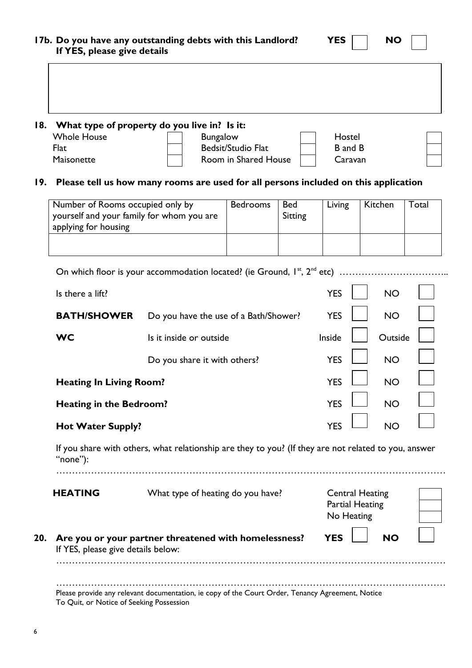| If YES, please give details               | 17b. Do you have any outstanding debts with this Landlord?                                           |                      |            | <b>YES</b>             | <b>NO</b>              |       |
|-------------------------------------------|------------------------------------------------------------------------------------------------------|----------------------|------------|------------------------|------------------------|-------|
|                                           |                                                                                                      |                      |            |                        |                        |       |
| 18.                                       | What type of property do you live in? Is it:                                                         |                      |            |                        |                        |       |
| <b>Whole House</b>                        | <b>Bungalow</b>                                                                                      |                      |            | Hostel                 |                        |       |
| Flat                                      |                                                                                                      | Bedsit/Studio Flat   |            | <b>B</b> and <b>B</b>  |                        |       |
| Maisonette                                |                                                                                                      | Room in Shared House |            | Caravan                |                        |       |
| 19.                                       | Please tell us how many rooms are used for all persons included on this application                  |                      |            |                        |                        |       |
| Number of Rooms occupied only by          |                                                                                                      | <b>Bedrooms</b>      | <b>Bed</b> | Living                 | Kitchen                | Total |
|                                           | yourself and your family for whom you are                                                            |                      | Sitting    |                        |                        |       |
| applying for housing                      |                                                                                                      |                      |            |                        |                        |       |
|                                           |                                                                                                      |                      |            |                        |                        |       |
|                                           | On which floor is your accommodation located? (ie Ground, $I^{st}$ , $2^{nd}$ etc)                   |                      |            |                        |                        |       |
| Is there a lift?                          |                                                                                                      |                      |            | <b>YES</b>             | <b>NO</b>              |       |
|                                           |                                                                                                      |                      |            |                        |                        |       |
| <b>BATH/SHOWER</b>                        | Do you have the use of a Bath/Shower?                                                                |                      |            | <b>YES</b>             | <b>NO</b>              |       |
| <b>WC</b>                                 | Is it inside or outside                                                                              |                      |            | Inside                 | Outside                |       |
|                                           | Do you share it with others?                                                                         |                      |            | <b>YES</b>             | <b>NO</b>              |       |
| <b>Heating In Living Room?</b>            |                                                                                                      |                      |            | <b>YES</b>             | <b>NO</b>              |       |
| <b>Heating in the Bedroom?</b>            |                                                                                                      |                      |            | YES                    | <b>NO</b>              |       |
| <b>Hot Water Supply?</b>                  |                                                                                                      |                      |            | <b>YES</b>             | <b>NO</b>              |       |
| "none" $)$ :                              | If you share with others, what relationship are they to you? (If they are not related to you, answer |                      |            |                        |                        |       |
| <b>HEATING</b>                            |                                                                                                      |                      |            |                        |                        |       |
|                                           | What type of heating do you have?                                                                    |                      |            | <b>Partial Heating</b> | <b>Central Heating</b> |       |
|                                           |                                                                                                      |                      |            | No Heating             |                        |       |
|                                           |                                                                                                      |                      |            |                        |                        |       |
| 20.<br>If YES, please give details below: | Are you or your partner threatened with homelessness?                                                |                      |            | <b>YES</b>             | <b>NO</b>              |       |
|                                           |                                                                                                      |                      |            |                        |                        |       |
|                                           |                                                                                                      |                      |            |                        |                        |       |
| To Quit, or Notice of Seeking Possession  | Please provide any relevant documentation, ie copy of the Court Order, Tenancy Agreement, Notice     |                      |            |                        |                        |       |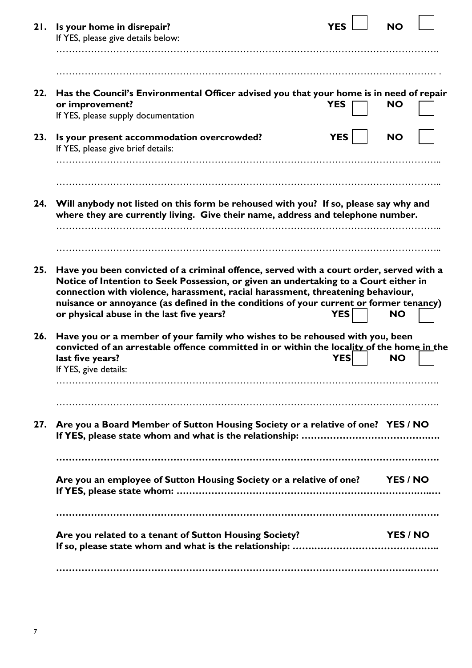| 21. | Is your home in disrepair?<br>If YES, please give details below:                                                                                                                                                                                                                                                                                             | YES        | <b>NO</b> |  |
|-----|--------------------------------------------------------------------------------------------------------------------------------------------------------------------------------------------------------------------------------------------------------------------------------------------------------------------------------------------------------------|------------|-----------|--|
|     |                                                                                                                                                                                                                                                                                                                                                              |            |           |  |
|     |                                                                                                                                                                                                                                                                                                                                                              |            |           |  |
| 22. | Has the Council's Environmental Officer advised you that your home is in need of repair<br>or improvement?                                                                                                                                                                                                                                                   | <b>YES</b> | <b>NO</b> |  |
|     | If YES, please supply documentation                                                                                                                                                                                                                                                                                                                          |            |           |  |
| 23. | Is your present accommodation overcrowded?<br>If YES, please give brief details:                                                                                                                                                                                                                                                                             | <b>YES</b> | <b>NO</b> |  |
|     |                                                                                                                                                                                                                                                                                                                                                              |            |           |  |
|     |                                                                                                                                                                                                                                                                                                                                                              |            |           |  |
| 24. | Will anybody not listed on this form be rehoused with you? If so, please say why and<br>where they are currently living. Give their name, address and telephone number.                                                                                                                                                                                      |            |           |  |
|     |                                                                                                                                                                                                                                                                                                                                                              |            |           |  |
|     |                                                                                                                                                                                                                                                                                                                                                              |            |           |  |
| 25. | Have you been convicted of a criminal offence, served with a court order, served with a<br>Notice of Intention to Seek Possession, or given an undertaking to a Court either in<br>connection with violence, harassment, racial harassment, threatening behaviour,<br>nuisance or annoyance (as defined in the conditions of your current or former tenancy) |            |           |  |
|     | or physical abuse in the last five years?                                                                                                                                                                                                                                                                                                                    | <b>YES</b> | <b>NO</b> |  |
| 26. | Have you or a member of your family who wishes to be rehoused with you, been<br>convicted of an arrestable offence committed in or within the locality of the home in the                                                                                                                                                                                    |            |           |  |
|     | last five years?<br>If YES, give details:                                                                                                                                                                                                                                                                                                                    | <b>YES</b> | <b>NO</b> |  |
|     |                                                                                                                                                                                                                                                                                                                                                              |            |           |  |
|     |                                                                                                                                                                                                                                                                                                                                                              |            |           |  |
|     | 27. Are you a Board Member of Sutton Housing Society or a relative of one? YES / NO                                                                                                                                                                                                                                                                          |            |           |  |
|     |                                                                                                                                                                                                                                                                                                                                                              |            |           |  |
|     | Are you an employee of Sutton Housing Society or a relative of one? YES/NO                                                                                                                                                                                                                                                                                   |            |           |  |
|     |                                                                                                                                                                                                                                                                                                                                                              |            |           |  |
|     | Are you related to a tenant of Sutton Housing Society?                                                                                                                                                                                                                                                                                                       |            | YES / NO  |  |
|     |                                                                                                                                                                                                                                                                                                                                                              |            |           |  |
|     |                                                                                                                                                                                                                                                                                                                                                              |            |           |  |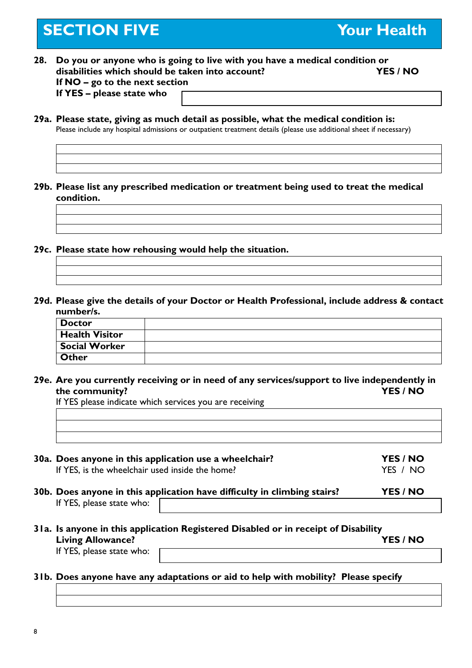## **SECTION FIVE THE SECTION FIVE**

- **28. Do you or anyone who is going to live with you have a medical condition or disabilities which should be taken into account? YES / NO If NO – go to the next section If YES – please state who**
- **29a. Please state, giving as much detail as possible, what the medical condition is:** Please include any hospital admissions or outpatient treatment details (please use additional sheet if necessary)
- **29b. Please list any prescribed medication or treatment being used to treat the medical condition.**
- **29c. Please state how rehousing would help the situation.**
- **29d. Please give the details of your Doctor or Health Professional, include address & contact number/s.**

| Doctor               |  |
|----------------------|--|
| Health Visitor       |  |
| <b>Social Worker</b> |  |
| Other                |  |

**29e. Are you currently receiving or in need of any services/support to live independently in the community? YES / NO**

If YES please indicate which services you are receiving

| <u> 1988 - Ann an Dùbhlachd ann an Dùbhad ann an Dùbhad ann an Dùbhad ann an Dùbhad ann an Dùbhad ann an Dùbhad a</u> |  |
|-----------------------------------------------------------------------------------------------------------------------|--|
|                                                                                                                       |  |
|                                                                                                                       |  |

**30a. Does anyone in this application use a wheelchair? YES / NO** If YES, is the wheelchair used inside the home? The VES / NO

- **30b. Does anyone in this application have difficulty in climbing stairs? YES / NO** If YES, please state who:
- **31a. Is anyone in this application Registered Disabled or in receipt of Disability Living Allowance? YES / NO** If YES, please state who:
- **31b. Does anyone have any adaptations or aid to help with mobility? Please specify**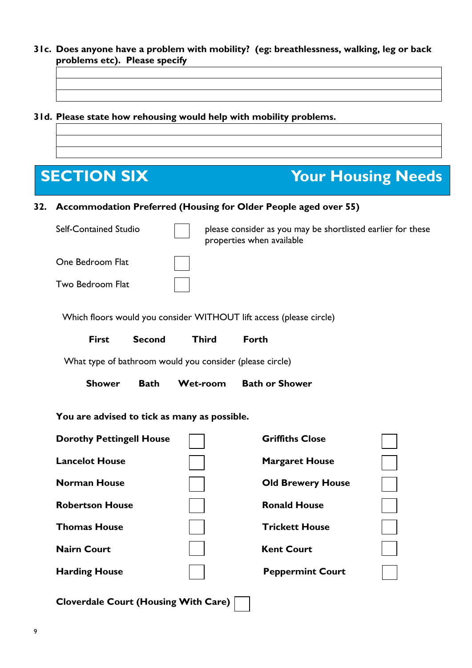- **31c. Does anyone have a problem with mobility? (eg: breathlessness, walking, leg or back problems etc). Please specify**
- **31d. Please state how rehousing would help with mobility problems.**



**Cloverdale Court (Housing With Care)**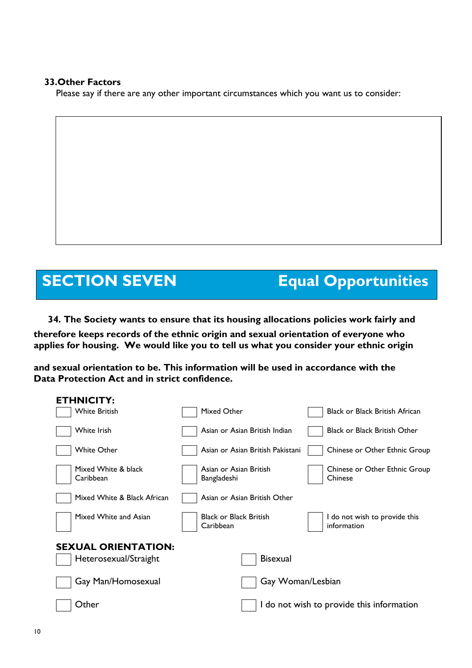### **33.Other Factors**

Please say if there are any other important circumstances which you want us to consider:

## **SECTION SEVEN Equal Opportunities**

**34. The Society wants to ensure that its housing allocations policies work fairly and therefore keeps records of the ethnic origin and sexual orientation of everyone who applies for housing. We would like you to tell us what you consider your ethnic origin**

**and sexual orientation to be. This information will be used in accordance with the Data Protection Act and in strict confidence.**

| <b>ETHNICITY:</b>                |                                            |                                              |
|----------------------------------|--------------------------------------------|----------------------------------------------|
| <b>White British</b>             | Mixed Other                                | <b>Black or Black British African</b>        |
| White Irish                      | Asian or Asian British Indian              | <b>Black or Black British Other</b>          |
| White Other                      | Asian or Asian British Pakistani           | Chinese or Other Ethnic Group                |
| Mixed White & black<br>Caribbean | Asian or Asian British<br>Bangladeshi      | Chinese or Other Ethnic Group<br>Chinese     |
| Mixed White & Black African      | Asian or Asian British Other               |                                              |
| Mixed White and Asian            | <b>Black or Black British</b><br>Caribbean | I do not wish to provide this<br>information |
| <b>SEXUAL ORIENTATION:</b>       |                                            |                                              |
| Heterosexual/Straight            | <b>Bisexual</b>                            |                                              |
| Gay Man/Homosexual               | Gay Woman/Lesbian                          |                                              |
| Other                            |                                            | I do not wish to provide this information    |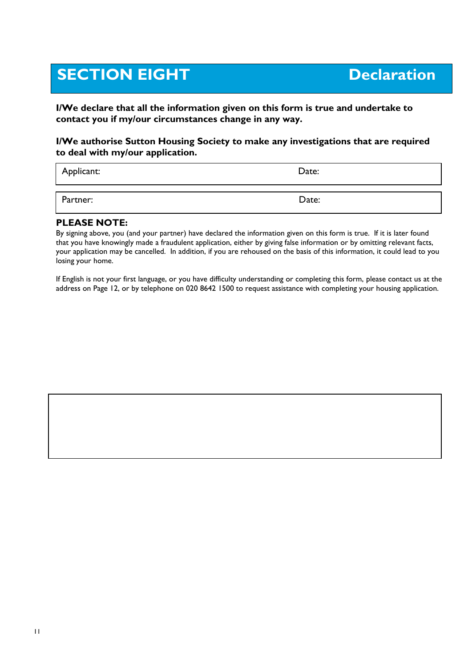## **SECTION EIGHT** Declaration

**I/We declare that all the information given on this form is true and undertake to contact you if my/our circumstances change in any way.**

### **I/We authorise Sutton Housing Society to make any investigations that are required to deal with my/our application.**

| Applicant: | Date: |
|------------|-------|
| Partner:   | Date: |

### **PLEASE NOTE:**

By signing above, you (and your partner) have declared the information given on this form is true. If it is later found that you have knowingly made a fraudulent application, either by giving false information or by omitting relevant facts, your application may be cancelled. In addition, if you are rehoused on the basis of this information, it could lead to you losing your home.

If English is not your first language, or you have difficulty understanding or completing this form, please contact us at the address on Page 12, or by telephone on 020 8642 1500 to request assistance with completing your housing application.